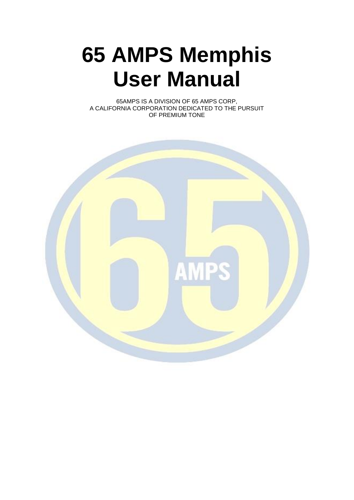# **65 AMPS Memphis User Manual**

65AMPS IS A DIVISION OF 65 AMPS CORP, A CALIFORNIA CORPORATION DEDICATED TO THE PURSUIT OF PREMIUM TONE

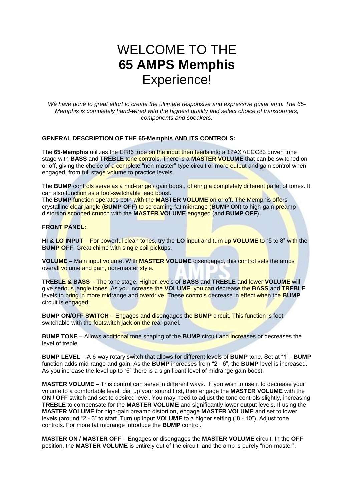# WELCOME TO THE **65 AMPS Memphis** Experience!

*We have gone to great effort to create the ultimate responsive and expressive guitar amp. The 65- Memphis is completely hand-wired with the highest quality and select choice of transformers, components and speakers.*

### **GENERAL DESCRIPTION OF THE 65-Memphis AND ITS CONTROLS:**

The **65-Memphis** utilizes the EF86 tube on the input then feeds into a 12AX7/ECC83 driven tone stage with **BASS** and **TREBLE** tone controls. There is a **MASTER VOLUME** that can be switched on or off, giving the choice of a complete "non-master" type circuit or more output and gain control when engaged, from full stage volume to practice levels.

The **BUMP** controls serve as a mid-range / gain boost, offering a completely different pallet of tones. It can also function as a foot-switchable lead boost.

The **BUMP** function operates both with the **MASTER VOLUME** on or off. The Memphis offers crystalline clear jangle (**BUMP OFF**) to screaming fat midrange (**BUMP ON**) to high-gain preamp distortion scooped crunch with the **MASTER VOLUME** engaged (and **BUMP OFF**).

#### **FRONT PANEL:**

**HI & LO INPUT** – For powerful clean tones, try the **LO** input and turn up **VOLUME** to "5 to 8" with the **BUMP OFF.** Great chime with single coil pickups.

**VOLUME** – Main input volume. With **MASTER VOLUME** disengaged, this control sets the amps overall volume and gain, non-master style.

**TREBLE & BASS** – The tone stage. Higher levels of **BASS** and **TREBLE** and lower **VOLUME** will give serious jangle tones. As you increase the **VOLUME**, you can decrease the **BASS** and **TREBLE** levels to bring in more midrange and overdrive. These controls decrease in effect when the **BUMP** circuit is engaged.

**BUMP ON/OFF SWITCH** – Engages and disengages the **BUMP** circuit. This function is footswitchable with the footswitch jack on the rear panel.

**BUMP TONE** – Allows additional tone shaping of the **BUMP** circuit and increases or decreases the level of treble.

**BUMP LEVEL** – A 6-way rotary switch that allows for different levels of **BUMP** tone. Set at "1" , **BUMP** function adds mid-range and gain. As the **BUMP** increases from "2 - 6", the **BUMP** level is increased. As you increase the level up to "6" there is a significant level of midrange gain boost.

**MASTER VOLUME** – This control can serve in different ways. If you wish to use it to decrease your volume to a comfortable level, dial up your sound first, then engage the **MASTER VOLUME** with the **ON / OFF** switch and set to desired level. You may need to adjust the tone controls slightly, increasing **TREBLE** to compensate for the **MASTER VOLUME** and significantly lower output levels. If using the **MASTER VOLUME** for high-gain preamp distortion, engage **MASTER VOLUME** and set to lower levels (around "2 - 3" to start. Turn up input **VOLUME** to a higher setting ("8 - 10"). Adjust tone controls. For more fat midrange introduce the **BUMP** control.

**MASTER ON / MASTER OFF** – Engages or disengages the **MASTER VOLUME** circuit. In the **OFF** position, the **MASTER VOLUME** is entirely out of the circuit and the amp is purely "non-master".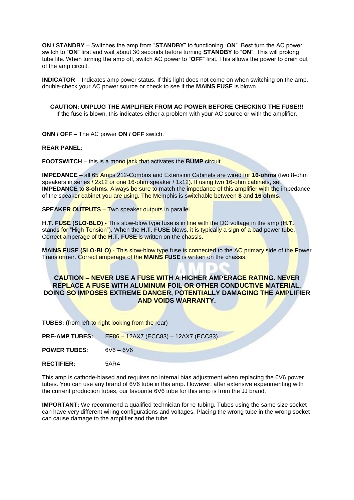**ON / STANDBY** – Switches the amp from "**STANDBY**" to functioning "**ON**". Best turn the AC power switch to "**ON**" first and wait about 30 seconds before turning **STANDBY** to "**ON**". This will prolong tube life. When turning the amp off, switch AC power to "**OFF**" first. This allows the power to drain out of the amp circuit.

**INDICATOR** – Indicates amp power status. If this light does not come on when switching on the amp, double-check your AC power source or check to see if the **MAINS FUSE** is blown.

**CAUTION: UNPLUG THE AMPLIFIER FROM AC POWER BEFORE CHECKING THE FUSE!!!** If the fuse is blown, this indicates either a problem with your AC source or with the amplifier.

**ONN / OFF** – The AC power **ON / OFF** switch.

**REAR PANEL:**

**FOOTSWITCH** – this is a mono jack that activates the **BUMP** circuit.

**IMPEDANCE** – all 65 Amps 212-Combos and Extension Cabinets are wired for **16-ohms** (two 8-ohm speakers in series / 2x12 or one 16-ohm speaker / 1x12). If using two 16-ohm cabinets, set **IMPEDANCE** to **8-ohms**. Always be sure to match the impedance of this amplifier with the impedance of the speaker cabinet you are using. The Memphis is switchable between **8** and **16 ohms**.

**SPEAKER OUTPUTS** – Two speaker outputs in parallel.

**H.T. FUSE (SLO-BLO)** - This slow-blow type fuse is in line with the DC voltage in the amp (**H.T.** stands for "High Tension"). When the **H.T. FUSE** blows, it is typically a sign of a bad power tube. Correct amperage of the **H.T. FUSE** is written on the chassis.

**MAINS FUSE (SLO-BLO)** - This slow-blow type fuse is connected to the AC primary side of the Power Transformer. Correct amperage of the **MAINS FUSE** is written on the chassis.

### **CAUTION – NEVER USE A FUSE WITH A HIGHER AMPERAGE RATING. NEVER REPLACE A FUSE WITH ALUMINUM FOIL OR OTHER CONDUCTIVE MATERIAL. DOING SO IMPOSES EXTREME DANGER, POTENTIALLY DAMAGING THE AMPLIFIER AND VOIDS WARRANTY.**

**TUBES:** (from left-to-right looking from the rear)

| <b>PRE-AMP TUBES:</b> | EF86 - 12AX7 (ECC83) - 12AX7 (ECC83) |
|-----------------------|--------------------------------------|
| <b>POWER TUBES:</b>   | $6V_6 - 6V_6$                        |

**RECTIFIER:** 5AR4

This amp is cathode-biased and requires no internal bias adjustment when replacing the 6V6 power tubes. You can use any brand of 6V6 tube in this amp. However, after extensive experimenting with the current production tubes, our favourite 6V6 tube for this amp is from the JJ brand.

**IMPORTANT:** We recommend a qualified technician for re-tubing. Tubes using the same size socket can have very different wiring configurations and voltages. Placing the wrong tube in the wrong socket can cause damage to the amplifier and the tube.